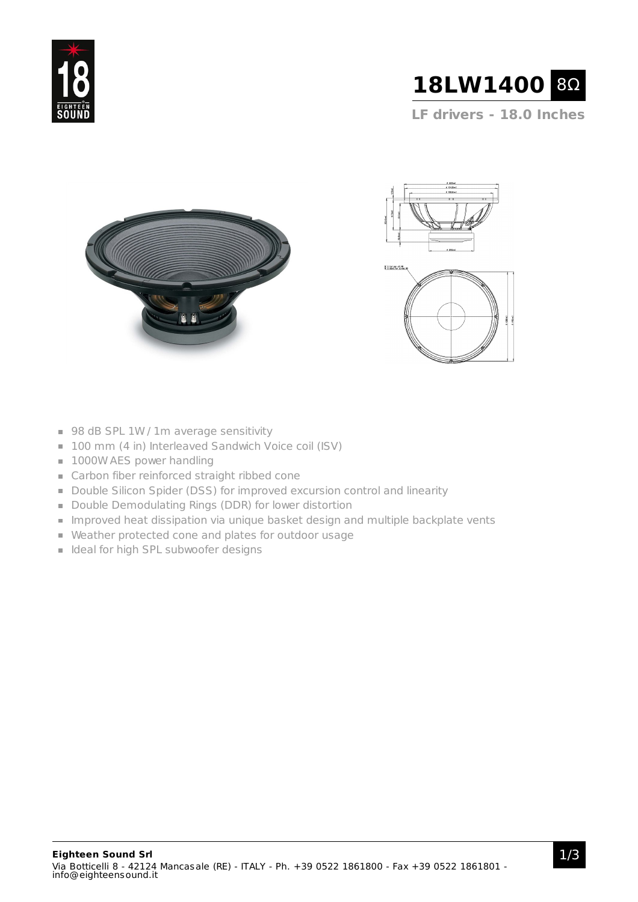



**LF drivers - 18.0 Inches**





- 98 dB SPL 1W / 1m average sensitivity
- 100 mm (4 in) Interleaved Sandwich Voice coil (ISV)
- **1000W AES power handling**
- Carbon fiber reinforced straight ribbed cone
- Double Silicon Spider (DSS) for improved excursion control and linearity
- Double Demodulating Rings (DDR) for lower distortion
- **Improved heat dissipation via unique basket design and multiple backplate vents**
- Weather protected cone and plates for outdoor usage
- I Ideal for high SPL subwoofer designs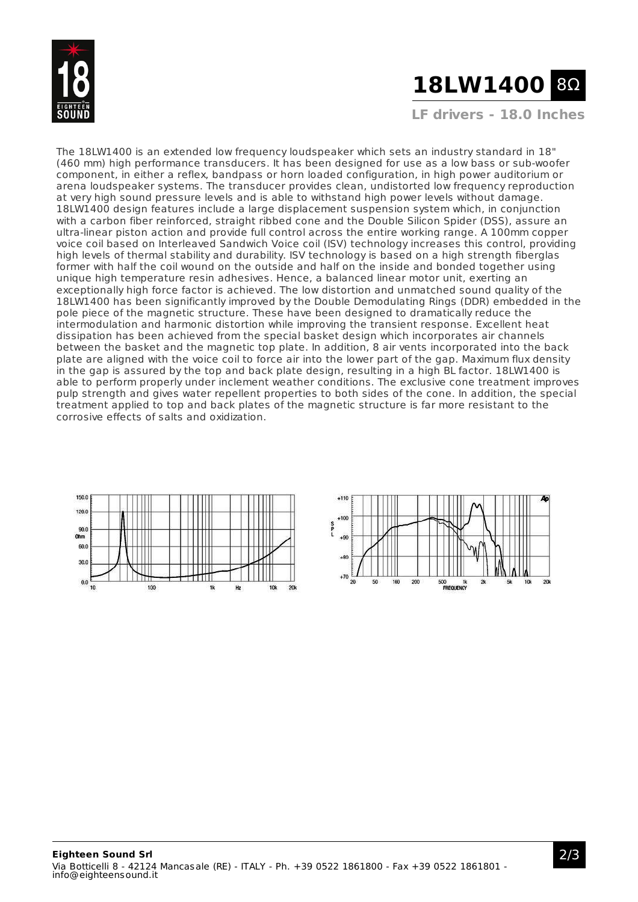

# **18LW1400** 8Ω

**LF drivers - 18.0 Inches**

The 18LW1400 is an extended low frequency loudspeaker which sets an industry standard in 18" (460 mm) high performance transducers. It has been designed for use as a low bass or sub-woofer component, in either a reflex, bandpass or horn loaded configuration, in high power auditorium or arena loudspeaker systems. The transducer provides clean, undistorted low frequency reproduction at very high sound pressure levels and is able to withstand high power levels without damage. 18LW1400 design features include a large displacement suspension system which, in conjunction with a carbon fiber reinforced, straight ribbed cone and the Double Silicon Spider (DSS), assure an ultra-linear piston action and provide full control across the entire working range. A 100mm copper voice coil based on Interleaved Sandwich Voice coil (ISV) technology increases this control, providing high levels of thermal stability and durability. ISV technology is based on a high strength fiberglas former with half the coil wound on the outside and half on the inside and bonded together using unique high temperature resin adhesives. Hence, a balanced linear motor unit, exerting an exceptionally high force factor is achieved. The low distortion and unmatched sound quality of the 18LW1400 has been significantly improved by the Double Demodulating Rings (DDR) embedded in the pole piece of the magnetic structure. These have been designed to dramatically reduce the intermodulation and harmonic distortion while improving the transient response. Excellent heat dissipation has been achieved from the special basket design which incorporates air channels between the basket and the magnetic top plate. In addition, 8 air vents incorporated into the back plate are aligned with the voice coil to force air into the lower part of the gap. Maximum flux density in the gap is assured by the top and back plate design, resulting in a high BL factor. 18LW1400 is able to perform properly under inclement weather conditions. The exclusive cone treatment improves pulp strength and gives water repellent properties to both sides of the cone. In addition, the special treatment applied to top and back plates of the magnetic structure is far more resistant to the corrosive effects of salts and oxidization.